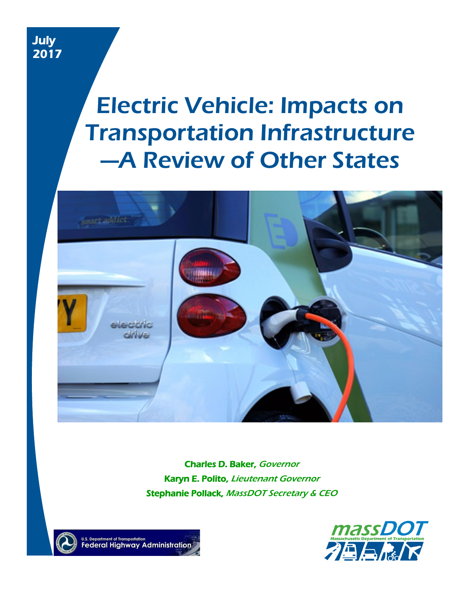# Electric Vehicle: Impacts on Transportation Infrastructure —A Review of Other States



Charles D. Baker, Governor **Karyn E. Polito, Lieutenant Governor** Stephanie Pollack, MassDOT Secretary & CEO



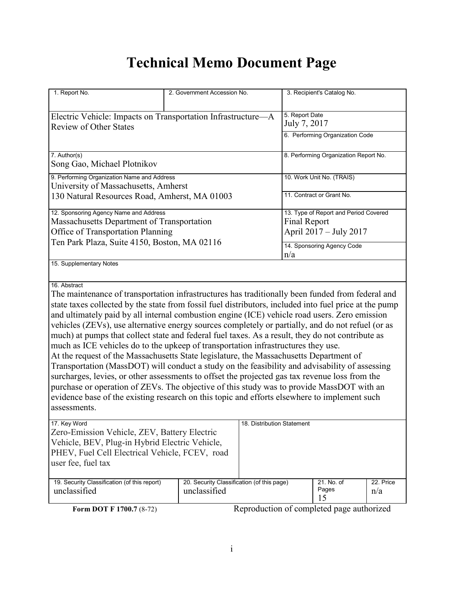# **Technical Memo Document Page**

| 1. Report No.                                                                                                                                                                                                                                                                                                                                                                                                                                                                                                                                                                                                                                                                                                                                                                                                                                                                                                                                                                                                                                                                                                                        | 2. Government Accession No.                                |                                                                 | 3. Recipient's Catalog No.            |                  |  |
|--------------------------------------------------------------------------------------------------------------------------------------------------------------------------------------------------------------------------------------------------------------------------------------------------------------------------------------------------------------------------------------------------------------------------------------------------------------------------------------------------------------------------------------------------------------------------------------------------------------------------------------------------------------------------------------------------------------------------------------------------------------------------------------------------------------------------------------------------------------------------------------------------------------------------------------------------------------------------------------------------------------------------------------------------------------------------------------------------------------------------------------|------------------------------------------------------------|-----------------------------------------------------------------|---------------------------------------|------------------|--|
| Electric Vehicle: Impacts on Transportation Infrastructure-A<br><b>Review of Other States</b>                                                                                                                                                                                                                                                                                                                                                                                                                                                                                                                                                                                                                                                                                                                                                                                                                                                                                                                                                                                                                                        |                                                            | 5. Report Date<br>July 7, 2017                                  |                                       |                  |  |
|                                                                                                                                                                                                                                                                                                                                                                                                                                                                                                                                                                                                                                                                                                                                                                                                                                                                                                                                                                                                                                                                                                                                      |                                                            |                                                                 | 6. Performing Organization Code       |                  |  |
| 7. Author(s)<br>Song Gao, Michael Plotnikov                                                                                                                                                                                                                                                                                                                                                                                                                                                                                                                                                                                                                                                                                                                                                                                                                                                                                                                                                                                                                                                                                          |                                                            |                                                                 | 8. Performing Organization Report No. |                  |  |
| 9. Performing Organization Name and Address<br>University of Massachusetts, Amherst                                                                                                                                                                                                                                                                                                                                                                                                                                                                                                                                                                                                                                                                                                                                                                                                                                                                                                                                                                                                                                                  |                                                            |                                                                 | 10. Work Unit No. (TRAIS)             |                  |  |
| 130 Natural Resources Road, Amherst, MA 01003                                                                                                                                                                                                                                                                                                                                                                                                                                                                                                                                                                                                                                                                                                                                                                                                                                                                                                                                                                                                                                                                                        |                                                            | 11. Contract or Grant No.                                       |                                       |                  |  |
| 12. Sponsoring Agency Name and Address<br>Massachusetts Department of Transportation<br>Office of Transportation Planning<br>Ten Park Plaza, Suite 4150, Boston, MA 02116                                                                                                                                                                                                                                                                                                                                                                                                                                                                                                                                                                                                                                                                                                                                                                                                                                                                                                                                                            | <b>Final Report</b>                                        | 13. Type of Report and Period Covered<br>April 2017 - July 2017 |                                       |                  |  |
|                                                                                                                                                                                                                                                                                                                                                                                                                                                                                                                                                                                                                                                                                                                                                                                                                                                                                                                                                                                                                                                                                                                                      | 14. Sponsoring Agency Code<br>n/a                          |                                                                 |                                       |                  |  |
| 15. Supplementary Notes                                                                                                                                                                                                                                                                                                                                                                                                                                                                                                                                                                                                                                                                                                                                                                                                                                                                                                                                                                                                                                                                                                              |                                                            |                                                                 |                                       |                  |  |
| 16. Abstract<br>The maintenance of transportation infrastructures has traditionally been funded from federal and<br>state taxes collected by the state from fossil fuel distributors, included into fuel price at the pump<br>and ultimately paid by all internal combustion engine (ICE) vehicle road users. Zero emission<br>vehicles (ZEVs), use alternative energy sources completely or partially, and do not refuel (or as<br>much) at pumps that collect state and federal fuel taxes. As a result, they do not contribute as<br>much as ICE vehicles do to the upkeep of transportation infrastructures they use.<br>At the request of the Massachusetts State legislature, the Massachusetts Department of<br>Transportation (MassDOT) will conduct a study on the feasibility and advisability of assessing<br>surcharges, levies, or other assessments to offset the projected gas tax revenue loss from the<br>purchase or operation of ZEVs. The objective of this study was to provide MassDOT with an<br>evidence base of the existing research on this topic and efforts elsewhere to implement such<br>assessments. |                                                            |                                                                 |                                       |                  |  |
| 17. Key Word<br>Zero-Emission Vehicle, ZEV, Battery Electric<br>Vehicle, BEV, Plug-in Hybrid Electric Vehicle,<br>PHEV, Fuel Cell Electrical Vehicle, FCEV, road<br>user fee, fuel tax                                                                                                                                                                                                                                                                                                                                                                                                                                                                                                                                                                                                                                                                                                                                                                                                                                                                                                                                               |                                                            | 18. Distribution Statement                                      |                                       |                  |  |
| 19. Security Classification (of this report)<br>unclassified                                                                                                                                                                                                                                                                                                                                                                                                                                                                                                                                                                                                                                                                                                                                                                                                                                                                                                                                                                                                                                                                         | 20. Security Classification (of this page)<br>unclassified |                                                                 | 21. No. of<br>Pages<br>15             | 22. Price<br>n/a |  |

**Form DOT F 1700.7** (8-72) Reproduction of completed page authorized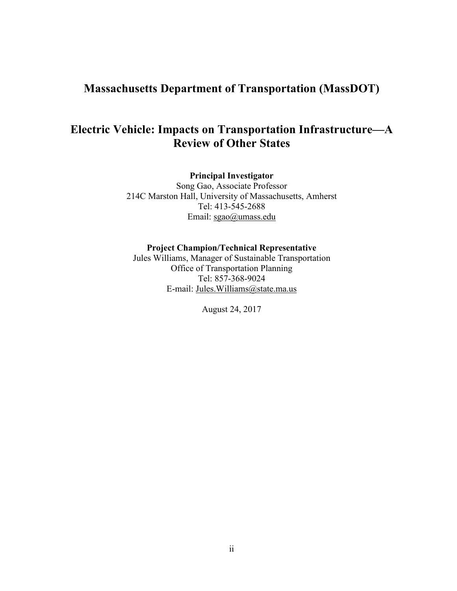# **Massachusetts Department of Transportation (MassDOT)**

# **Electric Vehicle: Impacts on Transportation Infrastructure—A Review of Other States**

**Principal Investigator**

Song Gao, Associate Professor 214C Marston Hall, University of Massachusetts, Amherst Tel: 413-545-2688 Email: [sgao@umass.edu](mailto:sgao@umass.edu)

#### **Project Champion/Technical Representative**

Jules Williams, Manager of Sustainable Transportation Office of Transportation Planning Tel: 857-368-9024 E-mail: [Jules.Williams@state.ma.us](mailto:Jules.Williams@state.ma.us)

August 24, 2017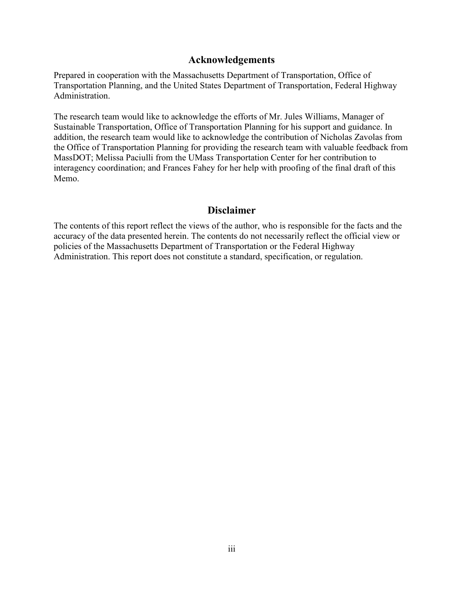#### **Acknowledgements**

Prepared in cooperation with the Massachusetts Department of Transportation, Office of Transportation Planning, and the United States Department of Transportation, Federal Highway Administration.

The research team would like to acknowledge the efforts of Mr. Jules Williams, Manager of Sustainable Transportation, Office of Transportation Planning for his support and guidance. In addition, the research team would like to acknowledge the contribution of Nicholas Zavolas from the Office of Transportation Planning for providing the research team with valuable feedback from MassDOT; Melissa Paciulli from the UMass Transportation Center for her contribution to interagency coordination; and Frances Fahey for her help with proofing of the final draft of this Memo.

#### **Disclaimer**

The contents of this report reflect the views of the author, who is responsible for the facts and the accuracy of the data presented herein. The contents do not necessarily reflect the official view or policies of the Massachusetts Department of Transportation or the Federal Highway Administration. This report does not constitute a standard, specification, or regulation.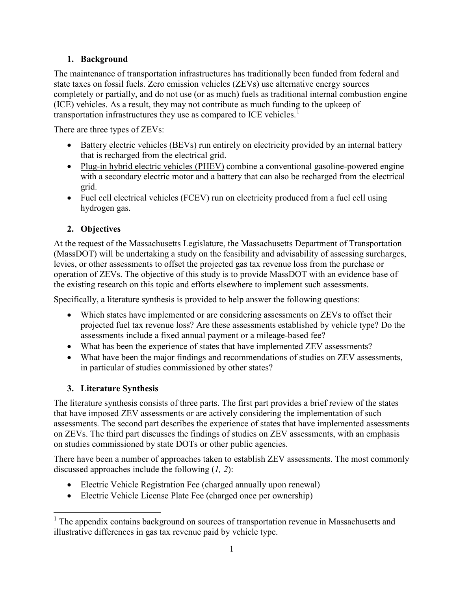#### **1. Background**

The maintenance of transportation infrastructures has traditionally been funded from federal and state taxes on fossil fuels. Zero emission vehicles (ZEVs) use alternative energy sources completely or partially, and do not use (or as much) fuels as traditional internal combustion engine (ICE) vehicles. As a result, they may not contribute as much funding to the upkeep of transportation infrastructures they use as compared to ICE vehicles.<sup>[1](#page-5-0)</sup>

There are three types of ZEVs:

- Battery electric vehicles (BEVs) run entirely on electricity provided by an internal battery that is recharged from the electrical grid.
- Plug-in hybrid electric vehicles (PHEV) combine a conventional gasoline-powered engine with a secondary electric motor and a battery that can also be recharged from the electrical grid.
- Fuel cell electrical vehicles (FCEV) run on electricity produced from a fuel cell using hydrogen gas.

### **2. Objectives**

At the request of the Massachusetts Legislature, the Massachusetts Department of Transportation (MassDOT) will be undertaking a study on the feasibility and advisability of assessing surcharges, levies, or other assessments to offset the projected gas tax revenue loss from the purchase or operation of ZEVs. The objective of this study is to provide MassDOT with an evidence base of the existing research on this topic and efforts elsewhere to implement such assessments.

Specifically, a literature synthesis is provided to help answer the following questions:

- Which states have implemented or are considering assessments on ZEVs to offset their projected fuel tax revenue loss? Are these assessments established by vehicle type? Do the assessments include a fixed annual payment or a mileage-based fee?
- What has been the experience of states that have implemented ZEV assessments?
- What have been the major findings and recommendations of studies on ZEV assessments, in particular of studies commissioned by other states?

## **3. Literature Synthesis**

The literature synthesis consists of three parts. The first part provides a brief review of the states that have imposed ZEV assessments or are actively considering the implementation of such assessments. The second part describes the experience of states that have implemented assessments on ZEVs. The third part discusses the findings of studies on ZEV assessments, with an emphasis on studies commissioned by state DOTs or other public agencies.

There have been a number of approaches taken to establish ZEV assessments. The most commonly discussed approaches include the following (*1, 2*):

- Electric Vehicle Registration Fee (charged annually upon renewal)
- Electric Vehicle License Plate Fee (charged once per ownership)

<span id="page-5-0"></span><sup>&</sup>lt;sup>1</sup> The appendix contains background on sources of transportation revenue in Massachusetts and illustrative differences in gas tax revenue paid by vehicle type.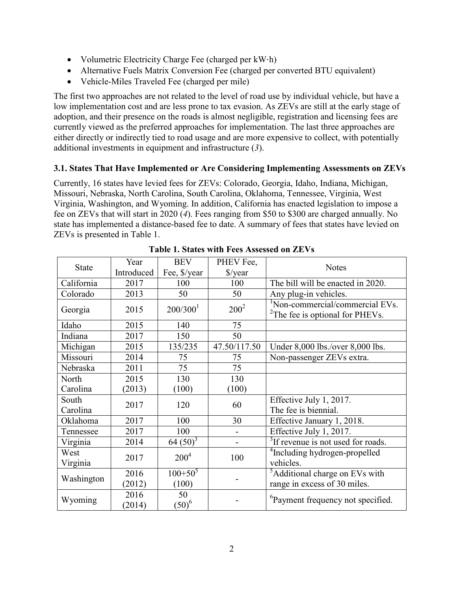- Volumetric Electricity Charge Fee (charged per kW⋅h)
- Alternative Fuels Matrix Conversion Fee (charged per converted BTU equivalent)
- Vehicle-Miles Traveled Fee (charged per mile)

The first two approaches are not related to the level of road use by individual vehicle, but have a low implementation cost and are less prone to tax evasion. As ZEVs are still at the early stage of adoption, and their presence on the roads is almost negligible, registration and licensing fees are currently viewed as the preferred approaches for implementation. The last three approaches are either directly or indirectly tied to road usage and are more expensive to collect, with potentially additional investments in equipment and infrastructure (*3*).

#### **3.1. States That Have Implemented or Are Considering Implementing Assessments on ZEVs**

Currently, 16 states have levied fees for ZEVs: Colorado, Georgia, Idaho, Indiana, Michigan, Missouri, Nebraska, North Carolina, South Carolina, Oklahoma, Tennessee, Virginia, West Virginia, Washington, and Wyoming. In addition, California has enacted legislation to impose a fee on ZEVs that will start in 2020 (*4*). Fees ranging from \$50 to \$300 are charged annually. No state has implemented a distance-based fee to date. A summary of fees that states have levied on ZEVs is presented in Table 1.

| <b>State</b>      | Year           | <b>BEV</b>           | PHEV Fee,        |                                                                               |  |
|-------------------|----------------|----------------------|------------------|-------------------------------------------------------------------------------|--|
|                   | Introduced     | Fee, \$/year         | $\sqrt{$}$ /year | <b>Notes</b>                                                                  |  |
| California        | 2017           | 100                  | 100              | The bill will be enacted in 2020.                                             |  |
| Colorado          | 2013           | 50                   | 50               | Any plug-in vehicles.                                                         |  |
| Georgia           | 2015           | 200/300 <sup>1</sup> | $200^2$          | Non-commercial/commercial EVs.<br><sup>2</sup> The fee is optional for PHEVs. |  |
| Idaho             | 2015           | 140                  | 75               |                                                                               |  |
| Indiana           | 2017           | 150                  | 50               |                                                                               |  |
| Michigan          | 2015           | 135/235              | 47.50/117.50     | Under 8,000 lbs./over 8,000 lbs.                                              |  |
| Missouri          | 2014           | 75                   | 75               | Non-passenger ZEVs extra.                                                     |  |
| Nebraska          | 2011           | 75                   | 75               |                                                                               |  |
| North             | 2015           | 130                  | 130              |                                                                               |  |
| Carolina          | (2013)         | (100)                | (100)            |                                                                               |  |
| South<br>Carolina | 2017           | 120                  | 60               | Effective July 1, 2017.<br>The fee is biennial.                               |  |
| Oklahoma          | 2017           | 100                  | 30               | Effective January 1, 2018.                                                    |  |
| Tennessee         | 2017           | 100                  |                  | Effective July 1, 2017.                                                       |  |
| Virginia          | 2014           | $64(50)^3$           |                  | <sup>3</sup> If revenue is not used for roads.                                |  |
| West<br>Virginia  | 2017           | $200^4$              | 100              | <sup>4</sup> Including hydrogen-propelled<br>vehicles.                        |  |
| Washington        | 2016<br>(2012) | $100+50^5$<br>(100)  |                  | <sup>5</sup> Additional charge on EVs with<br>range in excess of 30 miles.    |  |
| Wyoming           | 2016<br>(2014) | 50<br>$(50)^6$       |                  | <sup>6</sup> Payment frequency not specified.                                 |  |

**Table 1. States with Fees Assessed on ZEVs**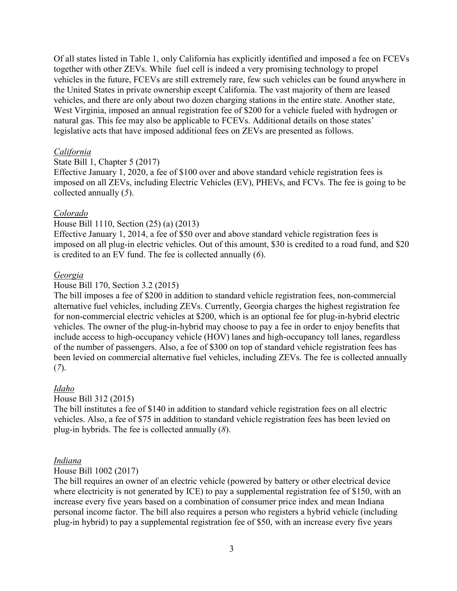Of all states listed in Table 1, only California has explicitly identified and imposed a fee on FCEVs together with other ZEVs. While fuel cell is indeed a very promising technology to propel vehicles in the future, FCEVs are still extremely rare, few such vehicles can be found anywhere in the United States in private ownership except California. The vast majority of them are leased vehicles, and there are only about two dozen charging stations in the entire state. Another state, West Virginia, imposed an annual registration fee of \$200 for a vehicle fueled with hydrogen or natural gas. This fee may also be applicable to FCEVs. Additional details on those states' legislative acts that have imposed additional fees on ZEVs are presented as follows.

#### *California*

#### State Bill 1, Chapter 5 (2017)

Effective January 1, 2020, a fee of \$100 over and above standard vehicle registration fees is imposed on all ZEVs, including Electric Vehicles (EV), PHEVs, and FCVs. The fee is going to be collected annually (*5*).

#### *Colorado*

#### House Bill 1110, Section (25) (a) (2013)

Effective January 1, 2014, a fee of \$50 over and above standard vehicle registration fees is imposed on all plug-in electric vehicles. Out of this amount, \$30 is credited to a road fund, and \$20 is credited to an EV fund. The fee is collected annually (*6*).

#### *Georgia*

#### House Bill 170, Section 3.2 (2015)

The bill imposes a fee of \$200 in addition to standard vehicle registration fees, non-commercial alternative fuel vehicles, including ZEVs. Currently, Georgia charges the highest registration fee for non-commercial electric vehicles at \$200, which is an optional fee for plug-in-hybrid electric vehicles. The owner of the plug-in-hybrid may choose to pay a fee in order to enjoy benefits that include access to high-occupancy vehicle (HOV) lanes and high-occupancy toll lanes, regardless of the number of passengers. Also, a fee of \$300 on top of standard vehicle registration fees has been levied on commercial alternative fuel vehicles, including ZEVs. The fee is collected annually (*7*).

#### *Idaho*

#### House Bill 312 (2015)

The bill institutes a fee of \$140 in addition to standard vehicle registration fees on all electric vehicles. Also, a fee of \$75 in addition to standard vehicle registration fees has been levied on plug-in hybrids. The fee is collected annually (*8*).

#### *Indiana*

#### House Bill 1002 (2017)

The bill requires an owner of an electric vehicle (powered by battery or other electrical device where electricity is not generated by ICE) to pay a supplemental registration fee of \$150, with an increase every five years based on a combination of consumer price index and mean Indiana personal income factor. The bill also requires a person who registers a hybrid vehicle (including plug-in hybrid) to pay a supplemental registration fee of \$50, with an increase every five years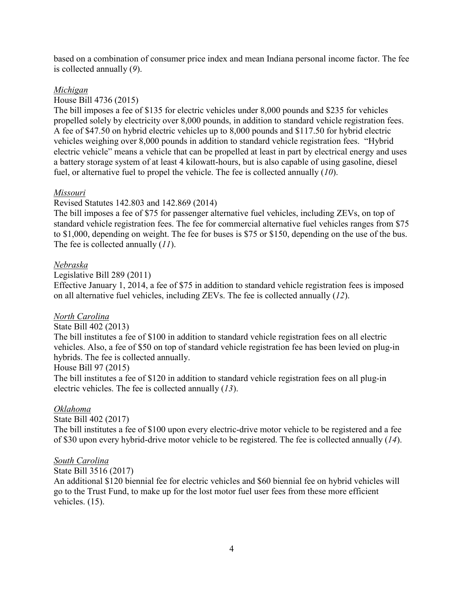based on a combination of consumer price index and mean Indiana personal income factor. The fee is collected annually (*9*).

#### *Michigan*

#### House Bill 4736 (2015)

The bill imposes a fee of \$135 for electric vehicles under 8,000 pounds and \$235 for vehicles propelled solely by electricity over 8,000 pounds, in addition to standard vehicle registration fees. A fee of \$47.50 on hybrid electric vehicles up to 8,000 pounds and \$117.50 for hybrid electric vehicles weighing over 8,000 pounds in addition to standard vehicle registration fees. "Hybrid electric vehicle" means a vehicle that can be propelled at least in part by electrical energy and uses a battery storage system of at least 4 kilowatt-hours, but is also capable of using gasoline, diesel fuel, or alternative fuel to propel the vehicle. The fee is collected annually (*10*).

#### *Missouri*

#### Revised Statutes 142.803 and 142.869 (2014)

The bill imposes a fee of \$75 for passenger alternative fuel vehicles, including ZEVs, on top of standard vehicle registration fees. The fee for commercial alternative fuel vehicles ranges from \$75 to \$1,000, depending on weight. The fee for buses is \$75 or \$150, depending on the use of the bus. The fee is collected annually (*11*).

#### *Nebraska*

Legislative Bill 289 (2011)

Effective January 1, 2014, a fee of \$75 in addition to standard vehicle registration fees is imposed on all alternative fuel vehicles, including ZEVs. The fee is collected annually (*12*).

#### *North Carolina*

#### State Bill 402 (2013)

The bill institutes a fee of \$100 in addition to standard vehicle registration fees on all electric vehicles. Also, a fee of \$50 on top of standard vehicle registration fee has been levied on plug-in hybrids. The fee is collected annually.

#### House Bill 97 (2015)

The bill institutes a fee of \$120 in addition to standard vehicle registration fees on all plug-in electric vehicles. The fee is collected annually (*13*).

#### *Oklahoma*

State Bill 402 (2017)

The bill institutes a fee of \$100 upon every electric-drive motor vehicle to be registered and a fee of \$30 upon every hybrid-drive motor vehicle to be registered. The fee is collected annually (*14*).

#### *South Carolina*

#### State Bill 3516 (2017)

An additional \$120 biennial fee for electric vehicles and \$60 biennial fee on hybrid vehicles will go to the Trust Fund, to make up for the lost motor fuel user fees from these more efficient vehicles. (15).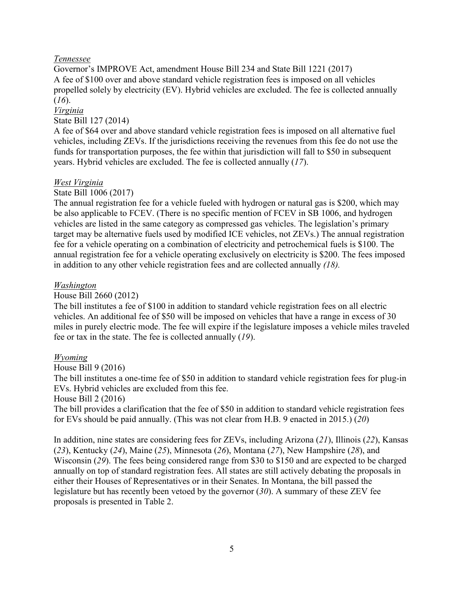#### *Tennessee*

Governor's IMPROVE Act, amendment House Bill 234 and State Bill 1221 (2017) A fee of \$100 over and above standard vehicle registration fees is imposed on all vehicles propelled solely by electricity (EV). Hybrid vehicles are excluded. The fee is collected annually (*16*).

#### *Virginia*

#### State Bill 127 (2014)

A fee of \$64 over and above standard vehicle registration fees is imposed on all alternative fuel vehicles, including ZEVs. If the jurisdictions receiving the revenues from this fee do not use the funds for transportation purposes, the fee within that jurisdiction will fall to \$50 in subsequent years. Hybrid vehicles are excluded. The fee is collected annually (*17*).

#### *West Virginia*

#### State Bill 1006 (2017)

The annual registration fee for a vehicle fueled with hydrogen or natural gas is \$200, which may be also applicable to FCEV. (There is no specific mention of FCEV in SB 1006, and hydrogen vehicles are listed in the same category as compressed gas vehicles. The legislation's primary target may be alternative fuels used by modified ICE vehicles, not ZEVs.) The annual registration fee for a vehicle operating on a combination of electricity and petrochemical fuels is \$100. The annual registration fee for a vehicle operating exclusively on electricity is \$200. The fees imposed in addition to any other vehicle registration fees and are collected annually *(18).*

#### *Washington*

#### House Bill 2660 (2012)

The bill institutes a fee of \$100 in addition to standard vehicle registration fees on all electric vehicles. An additional fee of \$50 will be imposed on vehicles that have a range in excess of 30 miles in purely electric mode. The fee will expire if the legislature imposes a vehicle miles traveled fee or tax in the state. The fee is collected annually (*19*).

#### *Wyoming*

House Bill 9 (2016)

The bill institutes a one-time fee of \$50 in addition to standard vehicle registration fees for plug-in EVs. Hybrid vehicles are excluded from this fee.

#### House Bill 2 (2016)

The bill provides a clarification that the fee of \$50 in addition to standard vehicle registration fees for EVs should be paid annually. (This was not clear from H.B. 9 enacted in 2015.) (*20*)

In addition, nine states are considering fees for ZEVs, including Arizona (*21*), Illinois (*22*), Kansas (*23*), Kentucky (*24*), Maine (*25*), Minnesota (*26*), Montana (*27*), New Hampshire (*28*), and Wisconsin (*29*). The fees being considered range from \$30 to \$150 and are expected to be charged annually on top of standard registration fees. All states are still actively debating the proposals in either their Houses of Representatives or in their Senates. In Montana, the bill passed the legislature but has recently been vetoed by the governor (*30*). A summary of these ZEV fee proposals is presented in Table 2.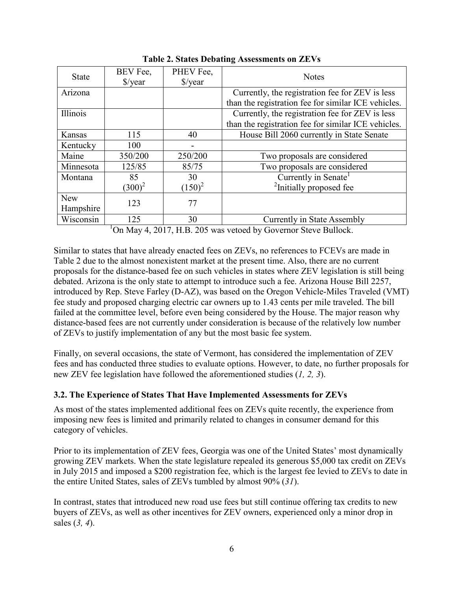| <b>State</b> | BEV Fee,<br>$\frac{\sqrt{2}}{2}$ | PHEV Fee,<br>$\sqrt{$}$ /year | <b>Notes</b>                                        |  |
|--------------|----------------------------------|-------------------------------|-----------------------------------------------------|--|
| Arizona      |                                  |                               | Currently, the registration fee for ZEV is less     |  |
|              |                                  |                               | than the registration fee for similar ICE vehicles. |  |
| Illinois     |                                  |                               | Currently, the registration fee for ZEV is less     |  |
|              |                                  |                               | than the registration fee for similar ICE vehicles. |  |
| Kansas       | 115                              | 40                            | House Bill 2060 currently in State Senate           |  |
| Kentucky     | 100                              |                               |                                                     |  |
| Maine        | 350/200                          | 250/200                       | Two proposals are considered                        |  |
| Minnesota    | 125/85                           | 85/75                         | Two proposals are considered                        |  |
| Montana      | 85                               | 30                            | Currently in Senate                                 |  |
|              | $(300)^2$                        | $(150)^2$                     | <sup>2</sup> Initially proposed fee                 |  |
| <b>New</b>   |                                  |                               |                                                     |  |
| Hampshire    | 123                              | 77                            |                                                     |  |
| Wisconsin    | 125                              | 30                            | Currently in State Assembly                         |  |

**Table 2. States Debating Assessments on ZEVs**

<sup>1</sup>On May 4, 2017, H.B. 205 was vetoed by Governor Steve Bullock.

Similar to states that have already enacted fees on ZEVs, no references to FCEVs are made in Table 2 due to the almost nonexistent market at the present time. Also, there are no current proposals for the distance-based fee on such vehicles in states where ZEV legislation is still being debated. Arizona is the only state to attempt to introduce such a fee. Arizona House Bill 2257, introduced by Rep. Steve Farley (D-AZ), was based on the Oregon Vehicle-Miles Traveled (VMT) fee study and proposed charging electric car owners up to 1.43 cents per mile traveled. The bill failed at the committee level, before even being considered by the House. The major reason why distance-based fees are not currently under consideration is because of the relatively low number of ZEVs to justify implementation of any but the most basic fee system.

Finally, on several occasions, the state of Vermont, has considered the implementation of ZEV fees and has conducted three studies to evaluate options. However, to date, no further proposals for new ZEV fee legislation have followed the aforementioned studies (*1, 2, 3*).

#### **3.2. The Experience of States That Have Implemented Assessments for ZEVs**

As most of the states implemented additional fees on ZEVs quite recently, the experience from imposing new fees is limited and primarily related to changes in consumer demand for this category of vehicles.

Prior to its implementation of ZEV fees, Georgia was one of the United States' most dynamically growing ZEV markets. When the state legislature repealed its generous \$5,000 tax credit on ZEVs in July 2015 and imposed a \$200 registration fee, which is the largest fee levied to ZEVs to date in the entire United States, sales of ZEVs tumbled by almost 90% (*31*).

In contrast, states that introduced new road use fees but still continue offering tax credits to new buyers of ZEVs, as well as other incentives for ZEV owners, experienced only a minor drop in sales (*3, 4*).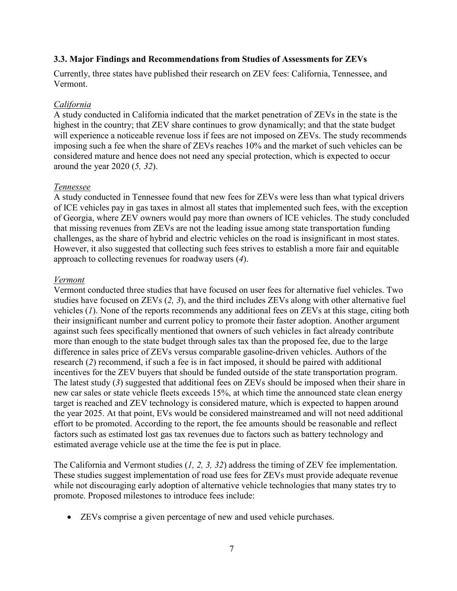#### **3.3. Major Findings and Recommendations from Studies of Assessments for ZEVs**

Currently, three states have published their research on ZEV fees: California, Tennessee, and Vermont.

#### *California*

A study conducted in California indicated that the market penetration of ZEVs in the state is the highest in the country; that ZEV share continues to grow dynamically; and that the state budget will experience a noticeable revenue loss if fees are not imposed on ZEVs. The study recommends imposing such a fee when the share of ZEVs reaches 10% and the market of such vehicles can be considered mature and hence does not need any special protection, which is expected to occur around the year 2020 (*5, 32*).

#### *Tennessee*

A study conducted in Tennessee found that new fees for ZEVs were less than what typical drivers of ICE vehicles pay in gas taxes in almost all states that implemented such fees, with the exception of Georgia, where ZEV owners would pay more than owners of ICE vehicles. The study concluded that missing revenues from ZEVs are not the leading issue among state transportation funding challenges, as the share of hybrid and electric vehicles on the road is insignificant in most states. However, it also suggested that collecting such fees strives to establish a more fair and equitable approach to collecting revenues for roadway users (*4*).

#### *Vermont*

Vermont conducted three studies that have focused on user fees for alternative fuel vehicles. Two studies have focused on ZEVs (*2, 3*), and the third includes ZEVs along with other alternative fuel vehicles (*1*). None of the reports recommends any additional fees on ZEVs at this stage, citing both their insignificant number and current policy to promote their faster adoption. Another argument against such fees specifically mentioned that owners of such vehicles in fact already contribute more than enough to the state budget through sales tax than the proposed fee, due to the large difference in sales price of ZEVs versus comparable gasoline-driven vehicles. Authors of the research (*2*) recommend, if such a fee is in fact imposed, it should be paired with additional incentives for the ZEV buyers that should be funded outside of the state transportation program. The latest study (*3*) suggested that additional fees on ZEVs should be imposed when their share in new car sales or state vehicle fleets exceeds 15%, at which time the announced state clean energy target is reached and ZEV technology is considered mature, which is expected to happen around the year 2025. At that point, EVs would be considered mainstreamed and will not need additional effort to be promoted. According to the report, the fee amounts should be reasonable and reflect factors such as estimated lost gas tax revenues due to factors such as battery technology and estimated average vehicle use at the time the fee is put in place.

The California and Vermont studies (*1, 2, 3, 32*) address the timing of ZEV fee implementation. These studies suggest implementation of road use fees for ZEVs must provide adequate revenue while not discouraging early adoption of alternative vehicle technologies that many states try to promote. Proposed milestones to introduce fees include:

• ZEVs comprise a given percentage of new and used vehicle purchases.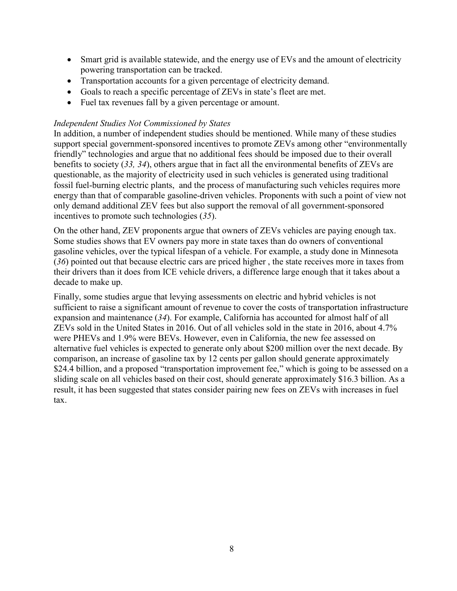- Smart grid is available statewide, and the energy use of EVs and the amount of electricity powering transportation can be tracked.
- Transportation accounts for a given percentage of electricity demand.
- Goals to reach a specific percentage of ZEVs in state's fleet are met.
- Fuel tax revenues fall by a given percentage or amount.

#### *Independent Studies Not Commissioned by States*

In addition, a number of independent studies should be mentioned. While many of these studies support special government-sponsored incentives to promote ZEVs among other "environmentally friendly" technologies and argue that no additional fees should be imposed due to their overall benefits to society (*33, 34*), others argue that in fact all the environmental benefits of ZEVs are questionable, as the majority of electricity used in such vehicles is generated using traditional fossil fuel-burning electric plants, and the process of manufacturing such vehicles requires more energy than that of comparable gasoline-driven vehicles. Proponents with such a point of view not only demand additional ZEV fees but also support the removal of all government-sponsored incentives to promote such technologies (*35*).

On the other hand, ZEV proponents argue that owners of ZEVs vehicles are paying enough tax. Some studies shows that EV owners pay more in state taxes than do owners of conventional gasoline vehicles, over the typical lifespan of a vehicle. For example, a study done in Minnesota (*36*) pointed out that because electric cars are priced higher , the state receives more in taxes from their drivers than it does from ICE vehicle drivers, a difference large enough that it takes about a decade to make up.

Finally, some studies argue that levying assessments on electric and hybrid vehicles is not sufficient to raise a significant amount of revenue to cover the costs of transportation infrastructure expansion and maintenance (*34*). For example, California has accounted for almost half of all ZEVs sold in the United States in 2016. Out of all vehicles sold in the state in 2016, about 4.7% were PHEVs and 1.9% were BEVs. However, even in California, the new fee assessed on alternative fuel vehicles is expected to generate only about \$200 million over the next decade. By comparison, an increase of gasoline tax by 12 cents per gallon should generate approximately \$24.4 billion, and a proposed "transportation improvement fee," which is going to be assessed on a sliding scale on all vehicles based on their cost, should generate approximately \$16.3 billion. As a result, it has been suggested that states consider pairing new fees on ZEVs with increases in fuel tax.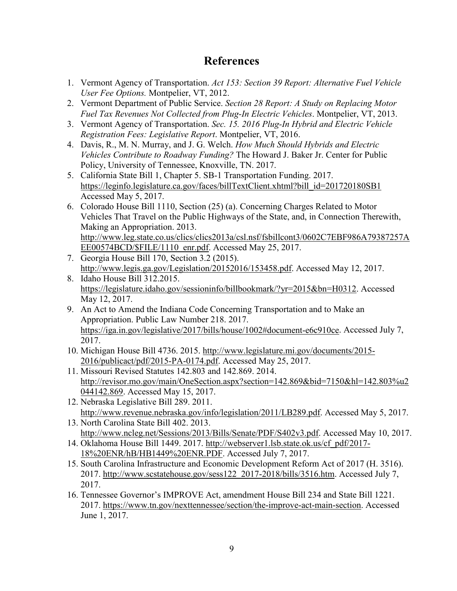# **References**

- 1. Vermont Agency of Transportation. *Act 153: Section 39 Report: Alternative Fuel Vehicle User Fee Options.* Montpelier, VT, 2012.
- 2. Vermont Department of Public Service. *Section 28 Report: A Study on Replacing Motor Fuel Tax Revenues Not Collected from Plug-In Electric Vehicles*. Montpelier, VT, 2013.
- 3. Vermont Agency of Transportation. *Sec. 15. 2016 Plug-In Hybrid and Electric Vehicle Registration Fees: Legislative Report*. Montpelier, VT, 2016.
- 4. Davis, R., M. N. Murray, and J. G. Welch. *How Much Should Hybrids and Electric Vehicles Contribute to Roadway Funding?* The Howard J. Baker Jr. Center for Public Policy, University of Tennessee, Knoxville, TN. 2017.
- 5. California State Bill 1, Chapter 5. SB-1 Transportation Funding. 2017. [https://leginfo.legislature.ca.gov/faces/billTextClient.xhtml?bill\\_id=201720180SB1](https://leginfo.legislature.ca.gov/faces/billTextClient.xhtml?bill_id=201720180SB1) Accessed May 5, 2017.
- 6. Colorado House Bill 1110, Section (25) (a). Concerning Charges Related to Motor Vehicles That Travel on the Public Highways of the State, and, in Connection Therewith, Making an Appropriation. 2013. [http://www.leg.state.co.us/clics/clics2013a/csl.nsf/fsbillcont3/0602C7EBF986A79387257A](http://www.leg.state.co.us/clics/clics2013a/csl.nsf/fsbillcont3/0602C7EBF986A79387257AEE00574BCD/$FILE/1110_enr.pdf) [EE00574BCD/\\$FILE/1110\\_enr.pdf.](http://www.leg.state.co.us/clics/clics2013a/csl.nsf/fsbillcont3/0602C7EBF986A79387257AEE00574BCD/$FILE/1110_enr.pdf) Accessed May 25, 2017.
- 7. Georgia House Bill 170, Section 3.2 (2015). [http://www.legis.ga.gov/Legislation/20152016/153458.pdf.](http://www.legis.ga.gov/Legislation/20152016/153458.pdf) Accessed May 12, 2017.
- 8. Idaho House Bill 312.2015. [https://legislature.idaho.gov/sessioninfo/billbookmark/?yr=2015&bn=H0312.](https://legislature.idaho.gov/sessioninfo/billbookmark/?yr=2015&bn=H0312) Accessed May 12, 2017.
- 9. An Act to Amend the Indiana Code Concerning Transportation and to Make an Appropriation. Public Law Number 218. 2017. [https://iga.in.gov/legislative/2017/bills/house/1002#document-e6c910ce.](https://iga.in.gov/legislative/2017/bills/house/1002#document-e6c910ce) Accessed July 7, 2017.
- 10. Michigan House Bill 4736. 2015. [http://www.legislature.mi.gov/documents/2015-](http://www.legislature.mi.gov/documents/2015-2016/publicact/pdf/2015-PA-0174.pdf) [2016/publicact/pdf/2015-PA-0174.pdf.](http://www.legislature.mi.gov/documents/2015-2016/publicact/pdf/2015-PA-0174.pdf) Accessed May 25, 2017.
- 11. Missouri Revised Statutes 142.803 and 142.869. 2014. [http://revisor.mo.gov/main/OneSection.aspx?section=142.869&bid=7150&hl=142.803%u2](http://revisor.mo.gov/main/OneSection.aspx?section=142.869&bid=7150&hl=142.803%25u2044142.869) [044142.869.](http://revisor.mo.gov/main/OneSection.aspx?section=142.869&bid=7150&hl=142.803%25u2044142.869) Accessed May 15, 2017.
- 12. Nebraska Legislative Bill 289. 2011. http://www<u>.revenue.nebraska.gov/info/legislation/2011/LB289.pdf</u>. Accessed May 5, 2017.
- 13. North Carolina State Bill 402. 2013. [http://www.ncleg.net/Sessions/2013/Bills/Senate/PDF/S402v3.pdf.](http://www.ncleg.net/Sessions/2013/Bills/Senate/PDF/S402v3.pdf) Accessed May 10, 2017.
- 14. Oklahoma House Bill 1449. 2017. [http://webserver1.lsb.state.ok.us/cf\\_pdf/2017-](http://webserver1.lsb.state.ok.us/cf_pdf/2017-18%20ENR/hB/HB1449%20ENR.PDF) [18%20ENR/hB/HB1449%20ENR.PDF.](http://webserver1.lsb.state.ok.us/cf_pdf/2017-18%20ENR/hB/HB1449%20ENR.PDF) Accessed July 7, 2017.
- 15. South Carolina Infrastructure and Economic Development Reform Act of 2017 (H. 3516). 2017. [http://www.scstatehouse.gov/sess122\\_2017-2018/bills/3516.htm.](http://www.scstatehouse.gov/sess122_2017-2018/bills/3516.htm) Accessed July 7, 2017.
- 16. Tennessee Governor's IMPROVE Act, amendment House Bill 234 and State Bill 1221. 2017. [https://www.tn.gov/nexttennessee/section/the-improve-act-main-section.](https://www.tn.gov/nexttennessee/section/the-improve-act-main-section) Accessed June 1, 2017.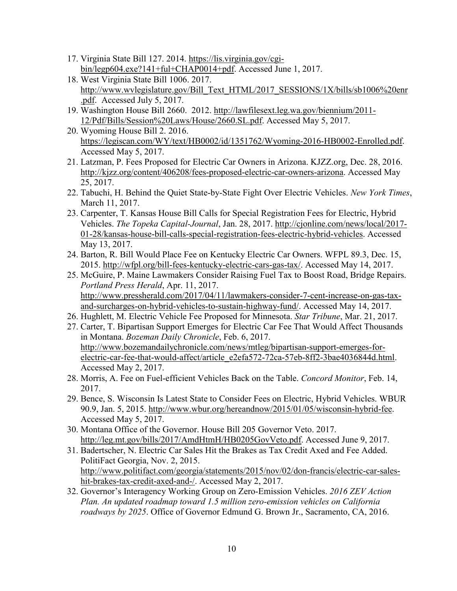- 17. Virginia State Bill 127. 2014. [https://lis.virginia.gov/cgi](https://lis.virginia.gov/cgi-bin/legp604.exe?141+ful+CHAP0014+pdf)[bin/legp604.exe?141+ful+CHAP0014+pdf.](https://lis.virginia.gov/cgi-bin/legp604.exe?141+ful+CHAP0014+pdf) Accessed June 1, 2017.
- 18. West Virginia State Bill 1006. 2017. [http://www.wvlegislature.gov/Bill\\_Text\\_HTML/2017\\_SESSIONS/1X/bills/sb1006%20enr](http://www.wvlegislature.gov/Bill_Text_HTML/2017_SESSIONS/1X/bills/sb1006%20enr.pdf) [.pdf.](http://www.wvlegislature.gov/Bill_Text_HTML/2017_SESSIONS/1X/bills/sb1006%20enr.pdf) Accessed July 5, 2017.
- 19. Washington House Bill 2660. 2012. [http://lawfilesext.leg.wa.gov/biennium/2011-](http://lawfilesext.leg.wa.gov/biennium/2011-12/Pdf/Bills/Session%20Laws/House/2660.SL.pdf) [12/Pdf/Bills/Session%20Laws/House/2660.SL.pdf.](http://lawfilesext.leg.wa.gov/biennium/2011-12/Pdf/Bills/Session%20Laws/House/2660.SL.pdf) Accessed May 5, 2017.
- 20. Wyoming House Bill 2. 2016. [https://legiscan.com/WY/text/HB0002/id/1351762/Wyoming-2016-HB0002-Enrolled.pdf.](https://legiscan.com/WY/text/HB0002/id/1351762/Wyoming-2016-HB0002-Enrolled.pdf) Accessed May 5, 2017.
- 21. Latzman, P. Fees Proposed for Electric Car Owners in Arizona. KJZZ.org, Dec. 28, 2016. [http://kjzz.org/content/406208/fees-proposed-electric-car-owners-arizona.](http://kjzz.org/content/406208/fees-proposed-electric-car-owners-arizona) Accessed May 25, 2017.
- 22. Tabuchi, H. Behind the Quiet State-by-State Fight Over Electric Vehicles. *New York Times*, March 11, 2017.
- 23. Carpenter, T. Kansas House Bill Calls for Special Registration Fees for Electric, Hybrid Vehicles. *The Topeka Capital-Journal*, Jan. 28, 2017. [http://cjonline.com/news/local/2017-](http://cjonline.com/news/local/2017-01-28/kansas-house-bill-calls-special-registration-fees-electric-hybrid-vehicles) [01-28/kansas-house-bill-calls-special-registration-fees-electric-hybrid-vehicles.](http://cjonline.com/news/local/2017-01-28/kansas-house-bill-calls-special-registration-fees-electric-hybrid-vehicles) Accessed May 13, 2017.
- 24. Barton, R. Bill Would Place Fee on Kentucky Electric Car Owners. WFPL 89.3, Dec. 15, 2015. [http://wfpl.org/bill-fees-kentucky-electric-cars-gas-tax/.](http://wfpl.org/bill-fees-kentucky-electric-cars-gas-tax/) Accessed May 14, 2017.
- 25. McGuire, P. Maine Lawmakers Consider Raising Fuel Tax to Boost Road, Bridge Repairs. *Portland Press Herald*, Apr. 11, 2017. [http://www.pressherald.com/2017/04/11/lawmakers-consider-7-cent-increase-on-gas-tax](http://www.pressherald.com/2017/04/11/lawmakers-consider-7-cent-increase-on-gas-tax-and-surcharges-on-hybrid-vehicles-to-sustain-highway-fund/)[and-surcharges-on-hybrid-vehicles-to-sustain-highway-fund/.](http://www.pressherald.com/2017/04/11/lawmakers-consider-7-cent-increase-on-gas-tax-and-surcharges-on-hybrid-vehicles-to-sustain-highway-fund/) Accessed May 14, 2017.
- 26. Hughlett, M. Electric Vehicle Fee Proposed for Minnesota. *Star Tribune*, Mar. 21, 2017.
- 27. Carter, T. Bipartisan Support Emerges for Electric Car Fee That Would Affect Thousands in Montana. *Bozeman Daily Chronicle*, Feb. 6, 2017. [http://www.bozemandailychronicle.com/news/mtleg/bipartisan-support-emerges-for](http://www.bozemandailychronicle.com/news/mtleg/bipartisan-support-emerges-for-electric-car-fee-that-would-affect/article_e2efa572-72ca-57eb-8ff2-3bae4036844d.html)[electric-car-fee-that-would-affect/article\\_e2efa572-72ca-57eb-8ff2-3bae4036844d.html.](http://www.bozemandailychronicle.com/news/mtleg/bipartisan-support-emerges-for-electric-car-fee-that-would-affect/article_e2efa572-72ca-57eb-8ff2-3bae4036844d.html) Accessed May 2, 2017.
- 28. Morris, A. Fee on Fuel-efficient Vehicles Back on the Table. *Concord Monitor*, Feb. 14, 2017.
- 29. Bence, S. Wisconsin Is Latest State to Consider Fees on Electric, Hybrid Vehicles. WBUR 90.9, Jan. 5, 2015. [http://www.wbur.org/hereandnow/2015/01/05/wisconsin-hybrid-fee.](http://www.wbur.org/hereandnow/2015/01/05/wisconsin-hybrid-fee) Accessed May 5, 2017.
- 30. Montana Office of the Governor. House Bill 205 Governor Veto. 2017. [http://leg.mt.gov/bills/2017/AmdHtmH/HB0205GovVeto.pdf.](http://leg.mt.gov/bills/2017/AmdHtmH/HB0205GovVeto.pdf) Accessed June 9, 2017.
- 31. Badertscher, N. Electric Car Sales Hit the Brakes as Tax Credit Axed and Fee Added. PolitiFact Georgia, Nov. 2, 2015. [http://www.politifact.com/georgia/statements/2015/nov/02/don-francis/electric-car-sales](http://www.politifact.com/georgia/statements/2015/nov/02/don-francis/electric-car-sales-hit-brakes-tax-credit-axed-and-/)[hit-brakes-tax-credit-axed-and-/.](http://www.politifact.com/georgia/statements/2015/nov/02/don-francis/electric-car-sales-hit-brakes-tax-credit-axed-and-/) Accessed May 2, 2017.
- 32. Governor's Interagency Working Group on Zero-Emission Vehicles. *2016 ZEV Action Plan. An updated roadmap toward 1.5 million zero-emission vehicles on California roadways by 2025*. Office of Governor Edmund G. Brown Jr., Sacramento, CA, 2016.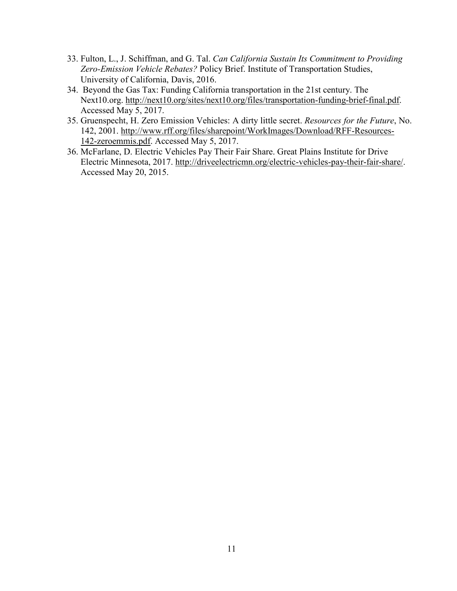- 33. Fulton, L., J. Schiffman, and G. Tal. *Can California Sustain Its Commitment to Providing Zero-Emission Vehicle Rebates?* Policy Brief. Institute of Transportation Studies, University of California, Davis, 2016.
- 34. Beyond the Gas Tax: Funding California transportation in the 21st century. The Next10.org. [http://next10.org/sites/next10.org/files/transportation-funding-brief-final.pdf.](http://next10.org/sites/next10.org/files/transportation-funding-brief-final.pdf) Accessed May  $5, 2017$ .
- 35. Gruenspecht, H. Zero Emission Vehicles: A dirty little secret. *Resources for the Future*, No. 142, 2001. [http://www.rff.org/files/sharepoint/WorkImages/Download/RFF-Resources-](http://www.rff.org/files/sharepoint/WorkImages/Download/RFF-Resources-142-zeroemmis.pdf)[142-zeroemmis.pdf.](http://www.rff.org/files/sharepoint/WorkImages/Download/RFF-Resources-142-zeroemmis.pdf) Accessed May 5, 2017.
- 36. McFarlane, D. Electric Vehicles Pay Their Fair Share. Great Plains Institute for Drive Electric Minnesota, 2017. [http://driveelectricmn.org/electric-vehicles-pay-their-fair-share/.](http://driveelectricmn.org/electric-vehicles-pay-their-fair-share/) Accessed May 20, 2015.